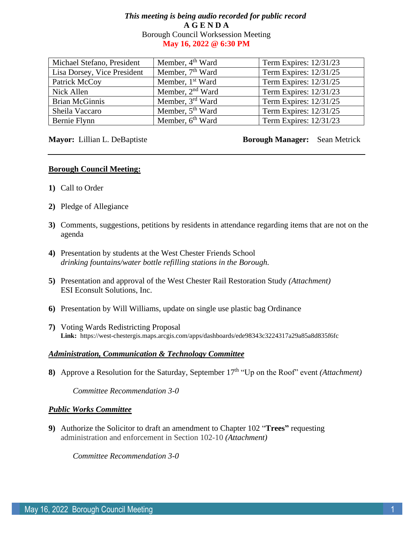# *This meeting is being audio recorded for public record* **A G E N D A**  Borough Council Worksession Meeting **May 16, 2022 @ 6:30 PM**

| Michael Stefano, President  | Member, 4 <sup>th</sup> Ward | Term Expires: 12/31/23 |
|-----------------------------|------------------------------|------------------------|
| Lisa Dorsey, Vice President | Member, 7 <sup>th</sup> Ward | Term Expires: 12/31/25 |
| Patrick McCoy               | Member, 1 <sup>st</sup> Ward | Term Expires: 12/31/25 |
| Nick Allen                  | Member, 2 <sup>nd</sup> Ward | Term Expires: 12/31/23 |
| <b>Brian McGinnis</b>       | Member, 3 <sup>rd</sup> Ward | Term Expires: 12/31/25 |
| Sheila Vaccaro              | Member, 5 <sup>th</sup> Ward | Term Expires: 12/31/25 |
| Bernie Flynn                | Member, 6 <sup>th</sup> Ward | Term Expires: 12/31/23 |

**Mayor:** Lillian L. DeBaptiste **Borough Manager:** Sean Metrick

## **Borough Council Meeting:**

- **1)** Call to Order
- **2)** Pledge of Allegiance
- **3)** Comments, suggestions, petitions by residents in attendance regarding items that are not on the agenda
- **4)** Presentation by students at the West Chester Friends School *drinking fountains/water bottle refilling stations in the Borough.*
- **5)** Presentation and approval of the West Chester Rail Restoration Study *(Attachment)* ESI Econsult Solutions, Inc.
- **6)** Presentation by Will Williams, update on single use plastic bag Ordinance
- **7)** Voting Wards Redistricting Proposal **Link:** https://west-chestergis.maps.arcgis.com/apps/dashboards/ede98343c3224317a29a85a8d835f6fc

## *Administration, Communication & Technology Committee*

**8)** Approve a Resolution for the Saturday, September 17<sup>th</sup> "Up on the Roof" event *(Attachment)* 

*Committee Recommendation 3-0*

#### *Public Works Committee*

**9)** Authorize the Solicitor to draft an amendment to Chapter 102 "**Trees"** requesting administration and enforcement in Section 102-10 *(Attachment)*

*Committee Recommendation 3-0*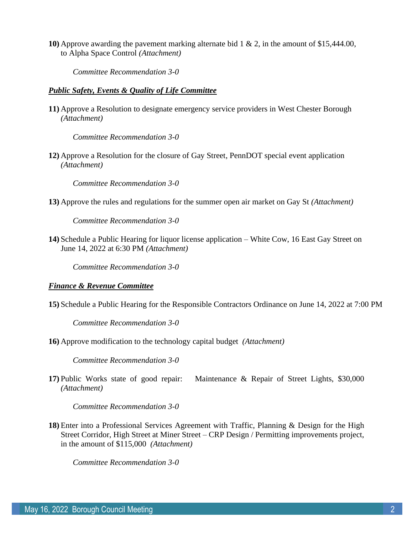**10)** Approve awarding the pavement marking alternate bid 1 & 2, in the amount of \$15,444.00, to Alpha Space Control *(Attachment)*

*Committee Recommendation 3-0*

# *Public Safety, Events & Quality of Life Committee*

**11)** Approve a Resolution to designate emergency service providers in West Chester Borough *(Attachment)*

*Committee Recommendation 3-0*

**12)** Approve a Resolution for the closure of Gay Street, PennDOT special event application *(Attachment)*

*Committee Recommendation 3-0*

**13)** Approve the rules and regulations for the summer open air market on Gay St *(Attachment)*

*Committee Recommendation 3-0*

**14)** Schedule a Public Hearing for liquor license application – White Cow, 16 East Gay Street on June 14, 2022 at 6:30 PM *(Attachment)*

*Committee Recommendation 3-0*

#### *Finance & Revenue Committee*

**15)** Schedule a Public Hearing for the Responsible Contractors Ordinance on June 14, 2022 at 7:00 PM

*Committee Recommendation 3-0*

**16)** Approve modification to the technology capital budget *(Attachment)*

*Committee Recommendation 3-0*

**17)** Public Works state of good repair: Maintenance & Repair of Street Lights, \$30,000 *(Attachment)*

*Committee Recommendation 3-0*

**18)** Enter into a Professional Services Agreement with Traffic, Planning & Design for the High Street Corridor, High Street at Miner Street – CRP Design / Permitting improvements project, in the amount of \$115,000 *(Attachment)*

*Committee Recommendation 3-0*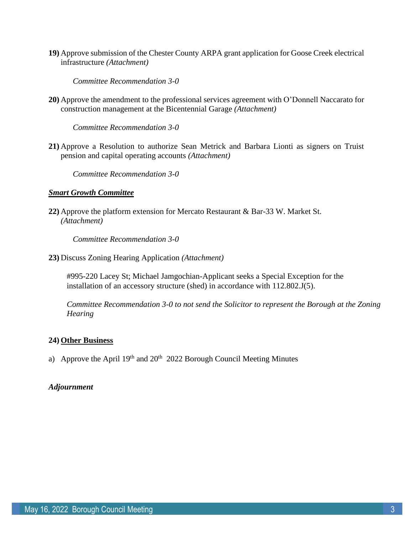**19)** Approve submission of the Chester County ARPA grant application for Goose Creek electrical infrastructure *(Attachment)*

*Committee Recommendation 3-0*

**20)** Approve the amendment to the professional services agreement with O'Donnell Naccarato for construction management at the Bicentennial Garage *(Attachment)*

*Committee Recommendation 3-0*

**21)** Approve a Resolution to authorize Sean Metrick and Barbara Lionti as signers on Truist pension and capital operating accounts *(Attachment)*

*Committee Recommendation 3-0*

# *Smart Growth Committee*

**22)** Approve the platform extension for Mercato Restaurant & Bar-33 W. Market St. *(Attachment)*

*Committee Recommendation 3-0*

**23)** Discuss Zoning Hearing Application *(Attachment)*

#995-220 Lacey St; Michael Jamgochian-Applicant seeks a Special Exception for the installation of an accessory structure (shed) in accordance with 112.802.J(5).

*Committee Recommendation 3-0 to not send the Solicitor to represent the Borough at the Zoning Hearing*

# **24) Other Business**

a) Approve the April  $19<sup>th</sup>$  and  $20<sup>th</sup>$  2022 Borough Council Meeting Minutes

# *Adjournment*